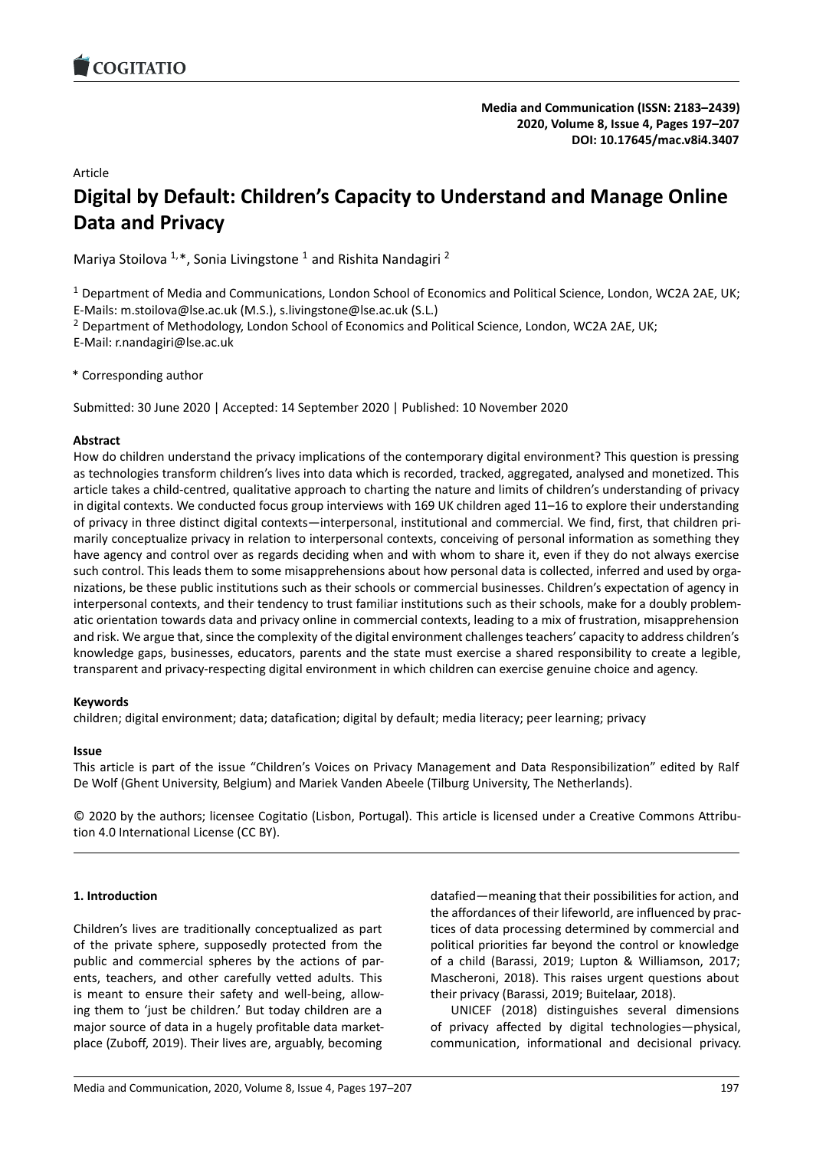# Article

# **Digital by Default: Children's Capacity to Understand and [Manage Online](https://doi.org/10.17645/mac.v8i4.3407) Data and Privacy**

Mariya Stoilova  $1,*$ , Sonia Livingstone  $1$  and Rishita Nandagiri  $^2$ 

 $1$  Department of Media and Communications, London School of Economics and Political Science, London, WC2A 2AE, UK; E-Mails: m.stoilova@lse.ac.uk (M.S.), s.livingstone@lse.ac.uk (S.L.)

<sup>2</sup> Department of Methodology, London School of Economics and Political Science, London, WC2A 2AE, UK;

E-Mail: r.nandagiri@lse.ac.uk

\* Corresponding author

Submitted: 30 June 2020 | Accepted: 14 September 2020 | Published: 10 November 2020

### **Abstract**

How do children understand the privacy implications of the contemporary digital environment? This question is pressing as technologies transform children's lives into data which is recorded, tracked, aggregated, analysed and monetized. This article takes a child-centred, qualitative approach to charting the nature and limits of children's understanding of privacy in digital contexts. We conducted focus group interviews with 169 UK children aged 11–16 to explore their understanding of privacy in three distinct digital contexts—interpersonal, institutional and commercial. We find, first, that children primarily conceptualize privacy in relation to interpersonal contexts, conceiving of personal information as something they have agency and control over as regards deciding when and with whom to share it, even if they do not always exercise such control. This leads them to some misapprehensions about how personal data is collected, inferred and used by organizations, be these public institutions such as their schools or commercial businesses. Children's expectation of agency in interpersonal contexts, and their tendency to trust familiar institutions such as their schools, make for a doubly problematic orientation towards data and privacy online in commercial contexts, leading to a mix of frustration, misapprehension and risk. We argue that, since the complexity of the digital environment challenges teachers' capacity to address children's knowledge gaps, businesses, educators, parents and the state must exercise a shared responsibility to create a legible, transparent and privacy-respecting digital environment in which children can exercise genuine choice and agency.

### **Keywords**

children; digital environment; data; datafication; digital by default; media literacy; peer learning; privacy

### **Issue**

This article is part of the issue "Children's Voices on Privacy Management and Data Responsibilization" edited by Ralf De Wolf (Ghent University, Belgium) and Mariek Vanden Abeele (Tilburg University, The Netherlands).

© 2020 by the authors; licensee Cogitatio (Lisbon, Portugal). This article is licensed under a Creative Commons Attribution 4.0 International License (CC BY).

## **1. Introduction**

Children's lives are traditionally conceptualized as part of the private sphere, supposedly protected from the public and commercial spheres by the actions of parents, teachers, and other carefully vetted adults. This is meant to ensure their safety and well-being, allowing them to 'just be children.' But today children are a major source of data in a hugely profitable data marketplace (Zuboff, 2019). Their lives are, arguably, becoming

datafied—meaning that their possibilities for action, and the affordances of their lifeworld, are influenced by practices of data processing determined by commercial and political priorities far beyond the control or knowledge of a child (Barassi, 2019; Lupton & Williamson, 2017; Mascheroni, 2018). This raises urgent questions about their privacy (Barassi, 2019; Buitelaar, 2018).

UNICEF (2018) distinguishes several dimensions of privacy affected by digital technologies—physical, communication, informational and decisional privacy.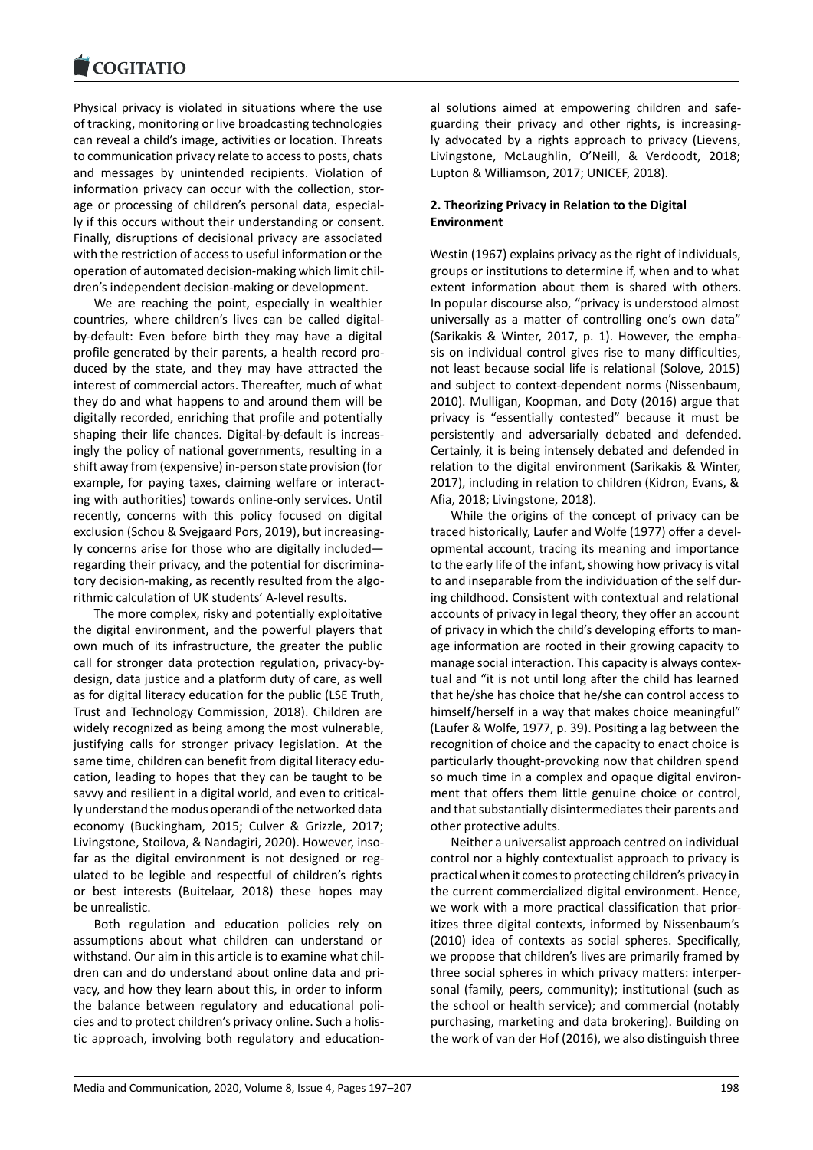Physical privacy is violated in situations where the use [of tracking, monitorin](https://www.cogitatiopress.com)g or live broadcasting technologies can reveal a child's image, activities or location. Threats to communication privacy relate to access to posts, chats and messages by unintended recipients. Violation of information privacy can occur with the collection, storage or processing of children's personal data, especially if this occurs without their understanding or consent. Finally, disruptions of decisional privacy are associated with the restriction of access to useful information or the operation of automated decision-making which limit children's independent decision-making or development.

We are reaching the point, especially in wealthier countries, where children's lives can be called digitalby-default: Even before birth they may have a digital profile generated by their parents, a health record produced by the state, and they may have attracted the interest of commercial actors. Thereafter, much of what they do and what happens to and around them will be digitally recorded, enriching that profile and potentially shaping their life chances. Digital-by-default is increasingly the policy of national governments, resulting in a shift away from (expensive) in-person state provision (for example, for paying taxes, claiming welfare or interacting with authorities) towards online-only services. Until recently, concerns with this policy focused on digital exclusion (Schou & Svejgaard Pors, 2019), but increasingly concerns arise for those who are digitally included regarding their privacy, and the potential for discriminatory decision-making, as recently resulted from the algorithmic calculation of UK students' A-level results.

The more complex, risky and potentially exploitative the digital environment, and the powerful players that own much of its infrastructure, the greater the public call for stronger data protection regulation, privacy-bydesign, data justice and a platform duty of care, as well as for digital literacy education for the public (LSE Truth, Trust and Technology Commission, 2018). Children are widely recognized as being among the most vulnerable, justifying calls for stronger privacy legislation. At the same time, children can benefit from digital literacy education, leading to hopes that they can be taught to be savvy and resilient in a digital world, and even to critically understand the modus operandi of the networked data economy (Buckingham, 2015; Culver & Grizzle, 2017; Livingstone, Stoilova, & Nandagiri, 2020). However, insofar as the digital environment is not designed or regulated to be legible and respectful of children's rights or best interests (Buitelaar, 2018) these hopes may be unrealistic.

Both regulation and education policies rely on assumptions about what children can understand or withstand. Our aim in this article is to examine what children can and do understand about online data and privacy, and how they learn about this, in order to inform the balance between regulatory and educational policies and to protect children's privacy online. Such a holistic approach, involving both regulatory and educational solutions aimed at empowering children and safeguarding their privacy and other rights, is increasingly advocated by a rights approach to privacy (Lievens, Livingstone, McLaughlin, O'Neill, & Verdoodt, 2018; Lupton & Williamson, 2017; UNICEF, 2018).

## **2. Theorizing Privacy in Relation to the Digital Environment**

Westin (1967) explains privacy as the right of individuals, groups or institutions to determine if, when and to what extent information about them is shared with others. In popular discourse also, "privacy is understood almost universally as a matter of controlling one's own data" (Sarikakis & Winter, 2017, p. 1). However, the emphasis on individual control gives rise to many difficulties, not least because social life is relational (Solove, 2015) and subject to context-dependent norms (Nissenbaum, 2010). Mulligan, Koopman, and Doty (2016) argue that privacy is "essentially contested" because it must be persistently and adversarially debated and defended. Certainly, it is being intensely debated and defended in relation to the digital environment (Sarikakis & Winter, 2017), including in relation to children (Kidron, Evans, & Afia, 2018; Livingstone, 2018).

While the origins of the concept of privacy can be traced historically, Laufer and Wolfe (1977) offer a developmental account, tracing its meaning and importance to the early life of the infant, showing how privacy is vital to and inseparable from the individuation of the self during childhood. Consistent with contextual and relational accounts of privacy in legal theory, they offer an account of privacy in which the child's developing efforts to manage information are rooted in their growing capacity to manage social interaction. This capacity is always contextual and "it is not until long after the child has learned that he/she has choice that he/she can control access to himself/herself in a way that makes choice meaningful" (Laufer & Wolfe, 1977, p. 39). Positing a lag between the recognition of choice and the capacity to enact choice is particularly thought-provoking now that children spend so much time in a complex and opaque digital environment that offers them little genuine choice or control, and that substantially disintermediates their parents and other protective adults.

Neither a universalist approach centred on individual control nor a highly contextualist approach to privacy is practical when it comes to protecting children's privacy in the current commercialized digital environment. Hence, we work with a more practical classification that prioritizes three digital contexts, informed by Nissenbaum's (2010) idea of contexts as social spheres. Specifically, we propose that children's lives are primarily framed by three social spheres in which privacy matters: interpersonal (family, peers, community); institutional (such as the school or health service); and commercial (notably purchasing, marketing and data brokering). Building on the work of van der Hof (2016), we also distinguish three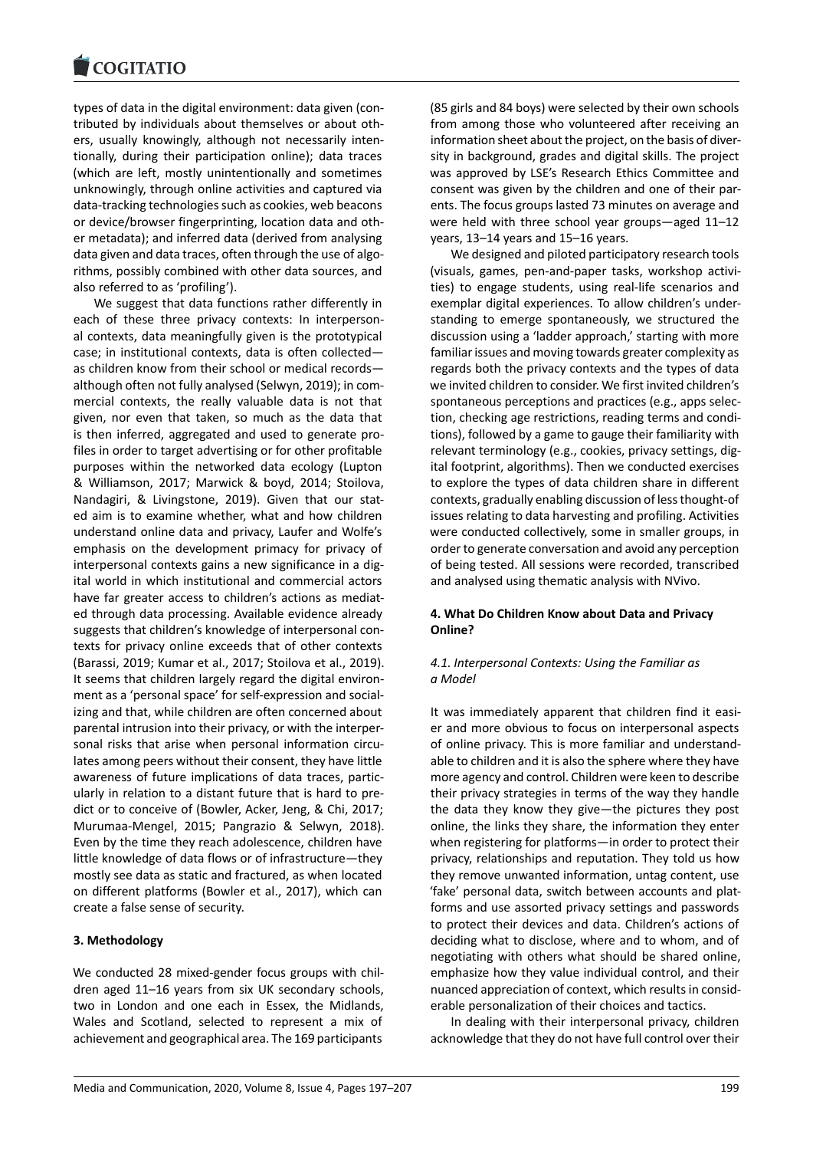types of data in the digital environment: data given (con[tributed by individua](https://www.cogitatiopress.com)ls about themselves or about others, usually knowingly, although not necessarily intentionally, during their participation online); data traces (which are left, mostly unintentionally and sometimes unknowingly, through online activities and captured via data-tracking technologies such as cookies, web beacons or device/browser fingerprinting, location data and other metadata); and inferred data (derived from analysing data given and data traces, often through the use of algorithms, possibly combined with other data sources, and also referred to as 'profiling').

We suggest that data functions rather differently in each of these three privacy contexts: In interpersonal contexts, data meaningfully given is the prototypical case; in institutional contexts, data is often collected as children know from their school or medical records although often not fully analysed (Selwyn, 2019); in commercial contexts, the really valuable data is not that given, nor even that taken, so much as the data that is then inferred, aggregated and used to generate profiles in order to target advertising or for other profitable purposes within the networked data ecology (Lupton & Williamson, 2017; Marwick & boyd, 2014; Stoilova, Nandagiri, & Livingstone, 2019). Given that our stated aim is to examine whether, what and how children understand online data and privacy, Laufer and Wolfe's emphasis on the development primacy for privacy of interpersonal contexts gains a new significance in a digital world in which institutional and commercial actors have far greater access to children's actions as mediated through data processing. Available evidence already suggests that children's knowledge of interpersonal contexts for privacy online exceeds that of other contexts (Barassi, 2019; Kumar et al., 2017; Stoilova et al., 2019). It seems that children largely regard the digital environment as a 'personal space' for self-expression and socializing and that, while children are often concerned about parental intrusion into their privacy, or with the interpersonal risks that arise when personal information circulates among peers without their consent, they have little awareness of future implications of data traces, particularly in relation to a distant future that is hard to predict or to conceive of (Bowler, Acker, Jeng, & Chi, 2017; Murumaa-Mengel, 2015; Pangrazio & Selwyn, 2018). Even by the time they reach adolescence, children have little knowledge of data flows or of infrastructure—they mostly see data as static and fractured, as when located on different platforms (Bowler et al., 2017), which can create a false sense of security.

## **3. Methodology**

We conducted 28 mixed-gender focus groups with children aged 11–16 years from six UK secondary schools, two in London and one each in Essex, the Midlands, Wales and Scotland, selected to represent a mix of achievement and geographical area. The 169 participants (85 girls and 84 boys) were selected by their own schools from among those who volunteered after receiving an information sheet about the project, on the basis of diversity in background, grades and digital skills. The project was approved by LSE's Research Ethics Committee and consent was given by the children and one of their parents. The focus groups lasted 73 minutes on average and were held with three school year groups—aged 11–12 years, 13–14 years and 15–16 years.

We designed and piloted participatory research tools (visuals, games, pen-and-paper tasks, workshop activities) to engage students, using real-life scenarios and exemplar digital experiences. To allow children's understanding to emerge spontaneously, we structured the discussion using a 'ladder approach,' starting with more familiar issues and moving towards greater complexity as regards both the privacy contexts and the types of data we invited children to consider. We first invited children's spontaneous perceptions and practices (e.g., apps selection, checking age restrictions, reading terms and conditions), followed by a game to gauge their familiarity with relevant terminology (e.g., cookies, privacy settings, digital footprint, algorithms). Then we conducted exercises to explore the types of data children share in different contexts, gradually enabling discussion of less thought-of issues relating to data harvesting and profiling. Activities were conducted collectively, some in smaller groups, in order to generate conversation and avoid any perception of being tested. All sessions were recorded, transcribed and analysed using thematic analysis with NVivo.

## **4. What Do Children Know about Data and Privacy Online?**

## *4.1. Interpersonal Contexts: Using the Familiar as a Model*

It was immediately apparent that children find it easier and more obvious to focus on interpersonal aspects of online privacy. This is more familiar and understandable to children and it is also the sphere where they have more agency and control. Children were keen to describe their privacy strategies in terms of the way they handle the data they know they give—the pictures they post online, the links they share, the information they enter when registering for platforms—in order to protect their privacy, relationships and reputation. They told us how they remove unwanted information, untag content, use 'fake' personal data, switch between accounts and platforms and use assorted privacy settings and passwords to protect their devices and data. Children's actions of deciding what to disclose, where and to whom, and of negotiating with others what should be shared online, emphasize how they value individual control, and their nuanced appreciation of context, which results in considerable personalization of their choices and tactics.

In dealing with their interpersonal privacy, children acknowledge that they do not have full control over their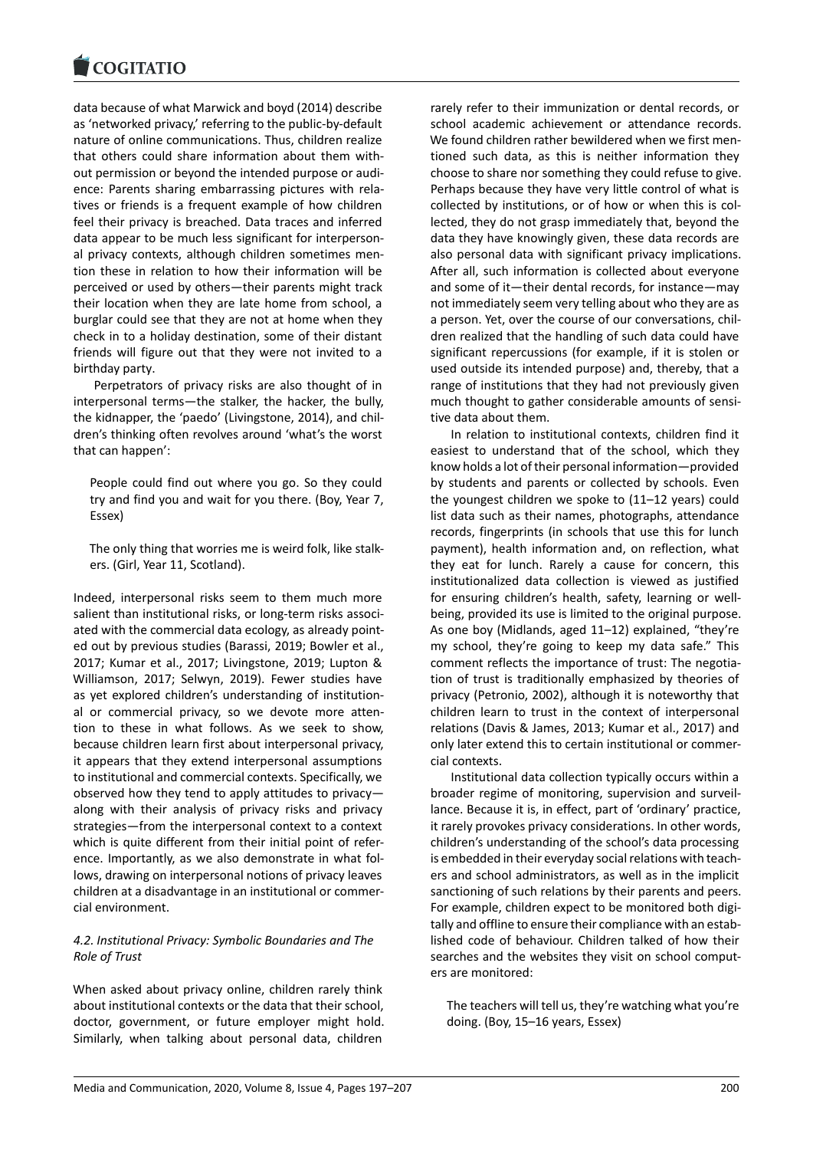data because of what Marwick and boyd (2014) describe [as 'networked privac](https://www.cogitatiopress.com)y,' referring to the public-by-default nature of online communications. Thus, children realize that others could share information about them without permission or beyond the intended purpose or audience: Parents sharing embarrassing pictures with relatives or friends is a frequent example of how children feel their privacy is breached. Data traces and inferred data appear to be much less significant for interpersonal privacy contexts, although children sometimes mention these in relation to how their information will be perceived or used by others—their parents might track their location when they are late home from school, a burglar could see that they are not at home when they check in to a holiday destination, some of their distant friends will figure out that they were not invited to a birthday party.

Perpetrators of privacy risks are also thought of in interpersonal terms—the stalker, the hacker, the bully, the kidnapper, the 'paedo' (Livingstone, 2014), and children's thinking often revolves around 'what's the worst that can happen':

People could find out where you go. So they could try and find you and wait for you there. (Boy, Year 7, Essex)

The only thing that worries me is weird folk, like stalkers. (Girl, Year 11, Scotland).

Indeed, interpersonal risks seem to them much more salient than institutional risks, or long-term risks associated with the commercial data ecology, as already pointed out by previous studies (Barassi, 2019; Bowler et al., 2017; Kumar et al., 2017; Livingstone, 2019; Lupton & Williamson, 2017; Selwyn, 2019). Fewer studies have as yet explored children's understanding of institutional or commercial privacy, so we devote more attention to these in what follows. As we seek to show, because children learn first about interpersonal privacy, it appears that they extend interpersonal assumptions to institutional and commercial contexts. Specifically, we observed how they tend to apply attitudes to privacy along with their analysis of privacy risks and privacy strategies—from the interpersonal context to a context which is quite different from their initial point of reference. Importantly, as we also demonstrate in what follows, drawing on interpersonal notions of privacy leaves children at a disadvantage in an institutional or commercial environment.

# *4.2. Institutional Privacy: Symbolic Boundaries and The Role of Trust*

When asked about privacy online, children rarely think about institutional contexts or the data that their school, doctor, government, or future employer might hold. Similarly, when talking about personal data, children

rarely refer to their immunization or dental records, or school academic achievement or attendance records. We found children rather bewildered when we first mentioned such data, as this is neither information they choose to share nor something they could refuse to give. Perhaps because they have very little control of what is collected by institutions, or of how or when this is collected, they do not grasp immediately that, beyond the data they have knowingly given, these data records are also personal data with significant privacy implications. After all, such information is collected about everyone and some of it—their dental records, for instance—may not immediately seem very telling about who they are as a person. Yet, over the course of our conversations, children realized that the handling of such data could have significant repercussions (for example, if it is stolen or used outside its intended purpose) and, thereby, that a range of institutions that they had not previously given much thought to gather considerable amounts of sensitive data about them.

In relation to institutional contexts, children find it easiest to understand that of the school, which they know holds a lot of their personal information—provided by students and parents or collected by schools. Even the youngest children we spoke to (11–12 years) could list data such as their names, photographs, attendance records, fingerprints (in schools that use this for lunch payment), health information and, on reflection, what they eat for lunch. Rarely a cause for concern, this institutionalized data collection is viewed as justified for ensuring children's health, safety, learning or wellbeing, provided its use is limited to the original purpose. As one boy (Midlands, aged 11–12) explained, "they're my school, they're going to keep my data safe." This comment reflects the importance of trust: The negotiation of trust is traditionally emphasized by theories of privacy (Petronio, 2002), although it is noteworthy that children learn to trust in the context of interpersonal relations (Davis & James, 2013; Kumar et al., 2017) and only later extend this to certain institutional or commercial contexts.

Institutional data collection typically occurs within a broader regime of monitoring, supervision and surveillance. Because it is, in effect, part of 'ordinary' practice, it rarely provokes privacy considerations. In other words, children's understanding of the school's data processing is embedded in their everyday social relations with teachers and school administrators, as well as in the implicit sanctioning of such relations by their parents and peers. For example, children expect to be monitored both digitally and offline to ensure their compliance with an established code of behaviour. Children talked of how their searches and the websites they visit on school computers are monitored:

The teachers will tell us, they're watching what you're doing. (Boy, 15–16 years, Essex)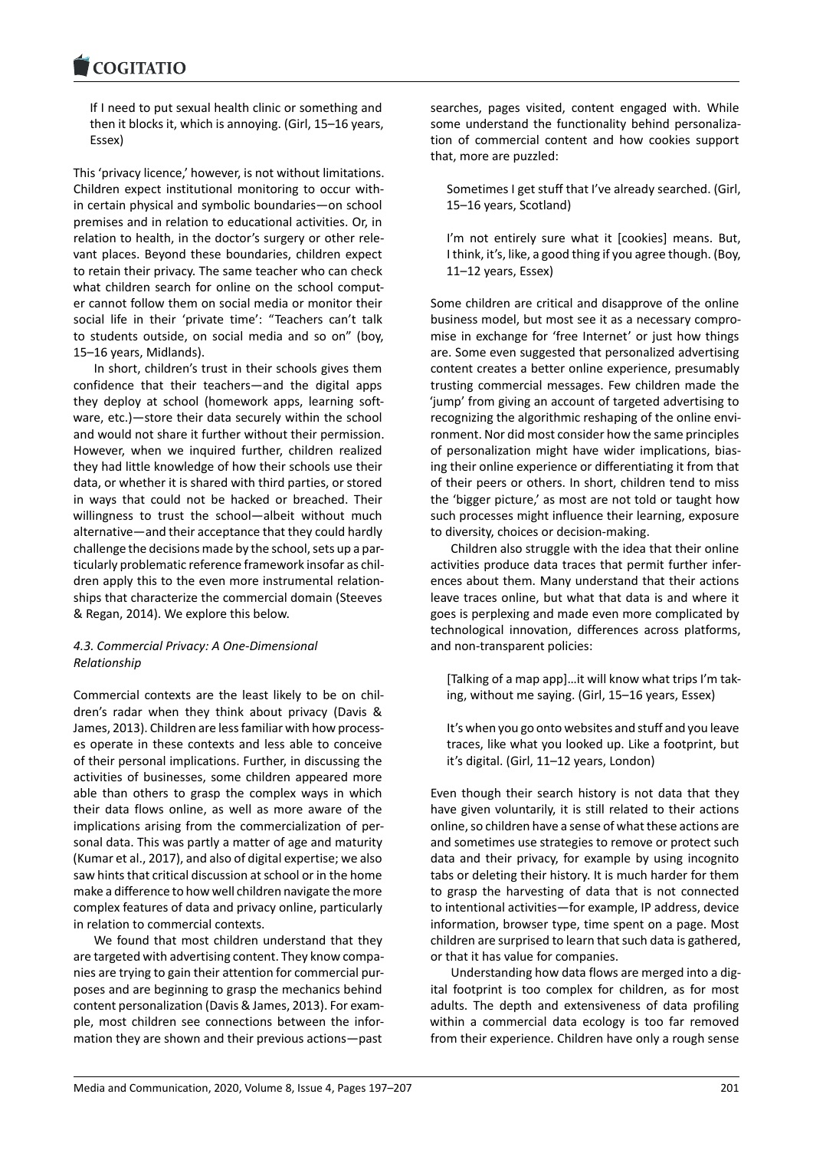#### COGHALIO

If I need to put sexual health clinic or something and [then it blocks it, w](https://www.cogitatiopress.com)hich is annoying. (Girl, 15–16 years, Essex)

This 'privacy licence,' however, is not without limitations. Children expect institutional monitoring to occur within certain physical and symbolic boundaries—on school premises and in relation to educational activities. Or, in relation to health, in the doctor's surgery or other relevant places. Beyond these boundaries, children expect to retain their privacy. The same teacher who can check what children search for online on the school computer cannot follow them on social media or monitor their social life in their 'private time': "Teachers can't talk to students outside, on social media and so on" (boy, 15–16 years, Midlands).

In short, children's trust in their schools gives them confidence that their teachers—and the digital apps they deploy at school (homework apps, learning software, etc.)—store their data securely within the school and would not share it further without their permission. However, when we inquired further, children realized they had little knowledge of how their schools use their data, or whether it is shared with third parties, or stored in ways that could not be hacked or breached. Their willingness to trust the school—albeit without much alternative—and their acceptance that they could hardly challenge the decisions made by the school, sets up a particularly problematic reference framework insofar as children apply this to the even more instrumental relationships that characterize the commercial domain (Steeves & Regan, 2014). We explore this below.

## *4.3. Commercial Privacy: A One-Dimensional Relationship*

Commercial contexts are the least likely to be on children's radar when they think about privacy (Davis & James, 2013). Children are less familiar with how processes operate in these contexts and less able to conceive of their personal implications. Further, in discussing the activities of businesses, some children appeared more able than others to grasp the complex ways in which their data flows online, as well as more aware of the implications arising from the commercialization of personal data. This was partly a matter of age and maturity (Kumar et al., 2017), and also of digital expertise; we also saw hints that critical discussion at school or in the home make a difference to how well children navigate the more complex features of data and privacy online, particularly in relation to commercial contexts.

We found that most children understand that they are targeted with advertising content. They know companies are trying to gain their attention for commercial purposes and are beginning to grasp the mechanics behind content personalization (Davis & James, 2013). For example, most children see connections between the information they are shown and their previous actions—past searches, pages visited, content engaged with. While some understand the functionality behind personalization of commercial content and how cookies support that, more are puzzled:

Sometimes I get stuff that I've already searched. (Girl, 15–16 years, Scotland)

I'm not entirely sure what it [cookies] means. But, I think, it's, like, a good thing if you agree though. (Boy, 11–12 years, Essex)

Some children are critical and disapprove of the online business model, but most see it as a necessary compromise in exchange for 'free Internet' or just how things are. Some even suggested that personalized advertising content creates a better online experience, presumably trusting commercial messages. Few children made the 'jump' from giving an account of targeted advertising to recognizing the algorithmic reshaping of the online environment. Nor did most consider how the same principles of personalization might have wider implications, biasing their online experience or differentiating it from that of their peers or others. In short, children tend to miss the 'bigger picture,' as most are not told or taught how such processes might influence their learning, exposure to diversity, choices or decision-making.

Children also struggle with the idea that their online activities produce data traces that permit further inferences about them. Many understand that their actions leave traces online, but what that data is and where it goes is perplexing and made even more complicated by technological innovation, differences across platforms, and non-transparent policies:

[Talking of a map app]…it will know what trips I'm taking, without me saying. (Girl, 15–16 years, Essex)

It's when you go onto websites and stuff and you leave traces, like what you looked up. Like a footprint, but it's digital. (Girl, 11–12 years, London)

Even though their search history is not data that they have given voluntarily, it is still related to their actions online, so children have a sense of what these actions are and sometimes use strategies to remove or protect such data and their privacy, for example by using incognito tabs or deleting their history. It is much harder for them to grasp the harvesting of data that is not connected to intentional activities—for example, IP address, device information, browser type, time spent on a page. Most children are surprised to learn that such data is gathered, or that it has value for companies.

Understanding how data flows are merged into a digital footprint is too complex for children, as for most adults. The depth and extensiveness of data profiling within a commercial data ecology is too far removed from their experience. Children have only a rough sense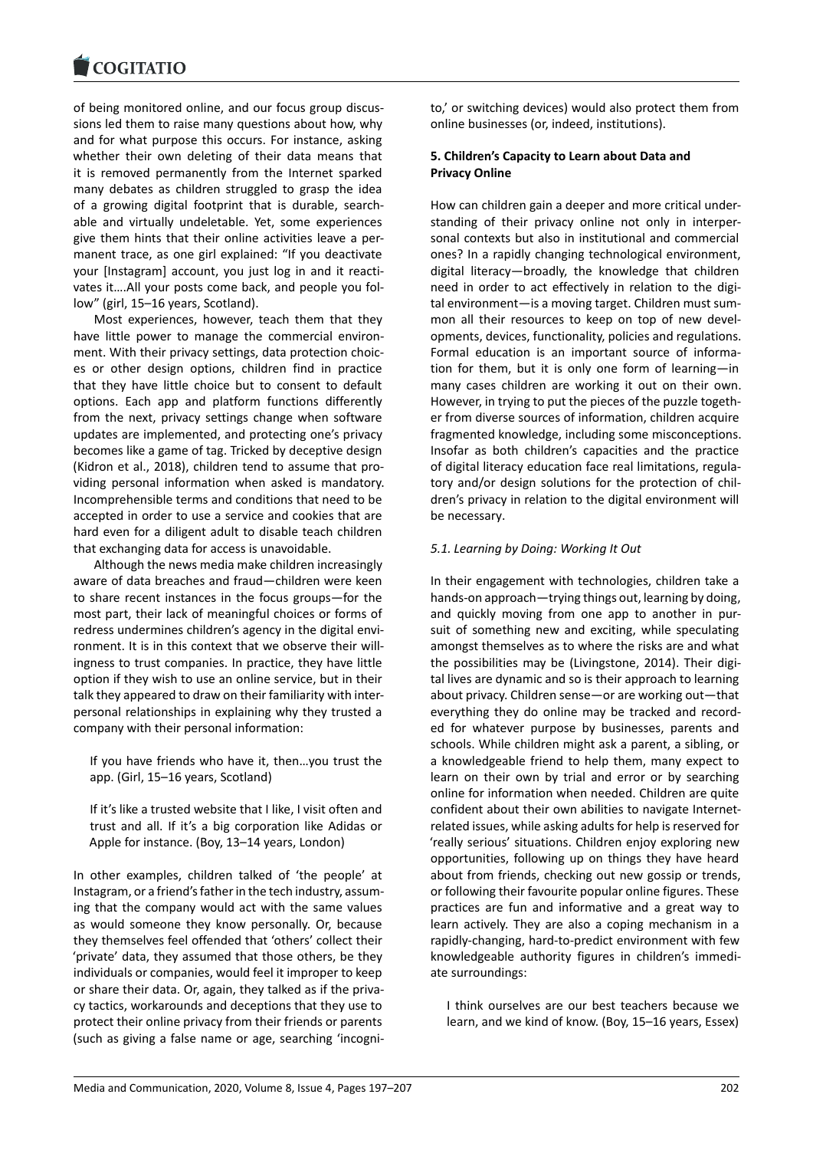of being monitored online, and our focus group discus[sions led them to rai](https://www.cogitatiopress.com)se many questions about how, why and for what purpose this occurs. For instance, asking whether their own deleting of their data means that it is removed permanently from the Internet sparked many debates as children struggled to grasp the idea of a growing digital footprint that is durable, searchable and virtually undeletable. Yet, some experiences give them hints that their online activities leave a permanent trace, as one girl explained: "If you deactivate your [Instagram] account, you just log in and it reactivates it….All your posts come back, and people you follow" (girl, 15–16 years, Scotland).

Most experiences, however, teach them that they have little power to manage the commercial environment. With their privacy settings, data protection choices or other design options, children find in practice that they have little choice but to consent to default options. Each app and platform functions differently from the next, privacy settings change when software updates are implemented, and protecting one's privacy becomes like a game of tag. Tricked by deceptive design (Kidron et al., 2018), children tend to assume that providing personal information when asked is mandatory. Incomprehensible terms and conditions that need to be accepted in order to use a service and cookies that are hard even for a diligent adult to disable teach children that exchanging data for access is unavoidable.

Although the news media make children increasingly aware of data breaches and fraud—children were keen to share recent instances in the focus groups—for the most part, their lack of meaningful choices or forms of redress undermines children's agency in the digital environment. It is in this context that we observe their willingness to trust companies. In practice, they have little option if they wish to use an online service, but in their talk they appeared to draw on their familiarity with interpersonal relationships in explaining why they trusted a company with their personal information:

If you have friends who have it, then…you trust the app. (Girl, 15–16 years, Scotland)

If it's like a trusted website that I like, I visit often and trust and all. If it's a big corporation like Adidas or Apple for instance. (Boy, 13–14 years, London)

In other examples, children talked of 'the people' at Instagram, or a friend's father in the tech industry, assuming that the company would act with the same values as would someone they know personally. Or, because they themselves feel offended that 'others' collect their 'private' data, they assumed that those others, be they individuals or companies, would feel it improper to keep or share their data. Or, again, they talked as if the privacy tactics, workarounds and deceptions that they use to protect their online privacy from their friends or parents (such as giving a false name or age, searching 'incognito,' or switching devices) would also protect them from online businesses (or, indeed, institutions).

# **5. Children's Capacity to Learn about Data and Privacy Online**

How can children gain a deeper and more critical understanding of their privacy online not only in interpersonal contexts but also in institutional and commercial ones? In a rapidly changing technological environment, digital literacy—broadly, the knowledge that children need in order to act effectively in relation to the digital environment—is a moving target. Children must summon all their resources to keep on top of new developments, devices, functionality, policies and regulations. Formal education is an important source of information for them, but it is only one form of learning—in many cases children are working it out on their own. However, in trying to put the pieces of the puzzle together from diverse sources of information, children acquire fragmented knowledge, including some misconceptions. Insofar as both children's capacities and the practice of digital literacy education face real limitations, regulatory and/or design solutions for the protection of children's privacy in relation to the digital environment will be necessary.

## *5.1. Learning by Doing: Working It Out*

In their engagement with technologies, children take a hands-on approach—trying things out, learning by doing, and quickly moving from one app to another in pursuit of something new and exciting, while speculating amongst themselves as to where the risks are and what the possibilities may be (Livingstone, 2014). Their digital lives are dynamic and so is their approach to learning about privacy. Children sense—or are working out—that everything they do online may be tracked and recorded for whatever purpose by businesses, parents and schools. While children might ask a parent, a sibling, or a knowledgeable friend to help them, many expect to learn on their own by trial and error or by searching online for information when needed. Children are quite confident about their own abilities to navigate Internetrelated issues, while asking adults for help is reserved for 'really serious' situations. Children enjoy exploring new opportunities, following up on things they have heard about from friends, checking out new gossip or trends, or following their favourite popular online figures. These practices are fun and informative and a great way to learn actively. They are also a coping mechanism in a rapidly-changing, hard-to-predict environment with few knowledgeable authority figures in children's immediate surroundings:

I think ourselves are our best teachers because we learn, and we kind of know. (Boy, 15–16 years, Essex)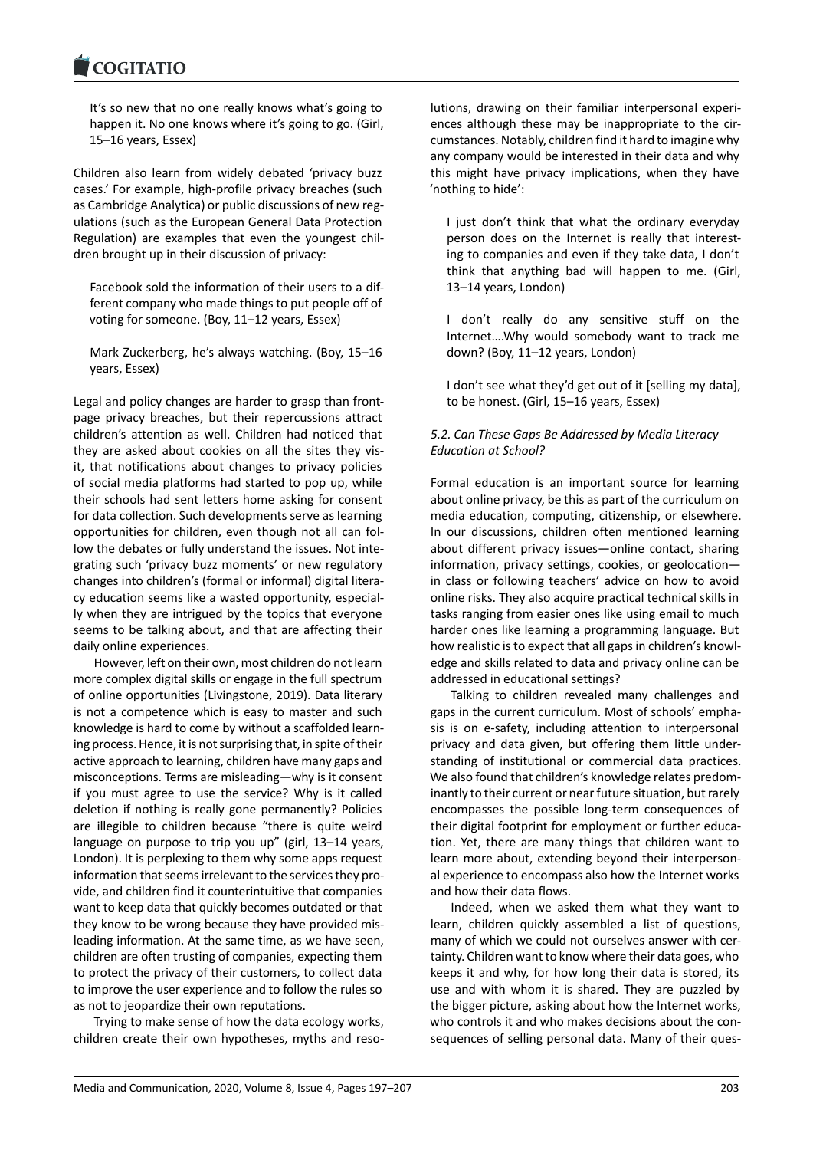#### COMITATIO

It's so new that no one really knows what's going to [happen it. No one](https://www.cogitatiopress.com) knows where it's going to go. (Girl, 15–16 years, Essex)

Children also learn from widely debated 'privacy buzz cases.' For example, high-profile privacy breaches (such as Cambridge Analytica) or public discussions of new regulations (such as the European General Data Protection Regulation) are examples that even the youngest children brought up in their discussion of privacy:

Facebook sold the information of their users to a different company who made things to put people off of voting for someone. (Boy, 11–12 years, Essex)

Mark Zuckerberg, he's always watching. (Boy, 15–16 years, Essex)

Legal and policy changes are harder to grasp than frontpage privacy breaches, but their repercussions attract children's attention as well. Children had noticed that they are asked about cookies on all the sites they visit, that notifications about changes to privacy policies of social media platforms had started to pop up, while their schools had sent letters home asking for consent for data collection. Such developments serve as learning opportunities for children, even though not all can follow the debates or fully understand the issues. Not integrating such 'privacy buzz moments' or new regulatory changes into children's (formal or informal) digital literacy education seems like a wasted opportunity, especially when they are intrigued by the topics that everyone seems to be talking about, and that are affecting their daily online experiences.

However, left on their own, most children do not learn more complex digital skills or engage in the full spectrum of online opportunities (Livingstone, 2019). Data literary is not a competence which is easy to master and such knowledge is hard to come by without a scaffolded learning process. Hence, it is not surprising that, in spite of their active approach to learning, children have many gaps and misconceptions. Terms are misleading—why is it consent if you must agree to use the service? Why is it called deletion if nothing is really gone permanently? Policies are illegible to children because "there is quite weird language on purpose to trip you up" (girl, 13–14 years, London). It is perplexing to them why some apps request information that seems irrelevant to the services they provide, and children find it counterintuitive that companies want to keep data that quickly becomes outdated or that they know to be wrong because they have provided misleading information. At the same time, as we have seen, children are often trusting of companies, expecting them to protect the privacy of their customers, to collect data to improve the user experience and to follow the rules so as not to jeopardize their own reputations.

Trying to make sense of how the data ecology works, children create their own hypotheses, myths and resolutions, drawing on their familiar interpersonal experiences although these may be inappropriate to the circumstances. Notably, children find it hard to imagine why any company would be interested in their data and why this might have privacy implications, when they have 'nothing to hide':

I just don't think that what the ordinary everyday person does on the Internet is really that interesting to companies and even if they take data, I don't think that anything bad will happen to me. (Girl, 13–14 years, London)

I don't really do any sensitive stuff on the Internet….Why would somebody want to track me down? (Boy, 11–12 years, London)

I don't see what they'd get out of it [selling my data], to be honest. (Girl, 15–16 years, Essex)

# *5.2. Can These Gaps Be Addressed by Media Literacy Education at School?*

Formal education is an important source for learning about online privacy, be this as part of the curriculum on media education, computing, citizenship, or elsewhere. In our discussions, children often mentioned learning about different privacy issues—online contact, sharing information, privacy settings, cookies, or geolocation in class or following teachers' advice on how to avoid online risks. They also acquire practical technical skills in tasks ranging from easier ones like using email to much harder ones like learning a programming language. But how realistic is to expect that all gaps in children's knowledge and skills related to data and privacy online can be addressed in educational settings?

Talking to children revealed many challenges and gaps in the current curriculum. Most of schools' emphasis is on e-safety, including attention to interpersonal privacy and data given, but offering them little understanding of institutional or commercial data practices. We also found that children's knowledge relates predominantly to their current or near future situation, but rarely encompasses the possible long-term consequences of their digital footprint for employment or further education. Yet, there are many things that children want to learn more about, extending beyond their interpersonal experience to encompass also how the Internet works and how their data flows.

Indeed, when we asked them what they want to learn, children quickly assembled a list of questions, many of which we could not ourselves answer with certainty. Children want to know where their data goes, who keeps it and why, for how long their data is stored, its use and with whom it is shared. They are puzzled by the bigger picture, asking about how the Internet works, who controls it and who makes decisions about the consequences of selling personal data. Many of their ques-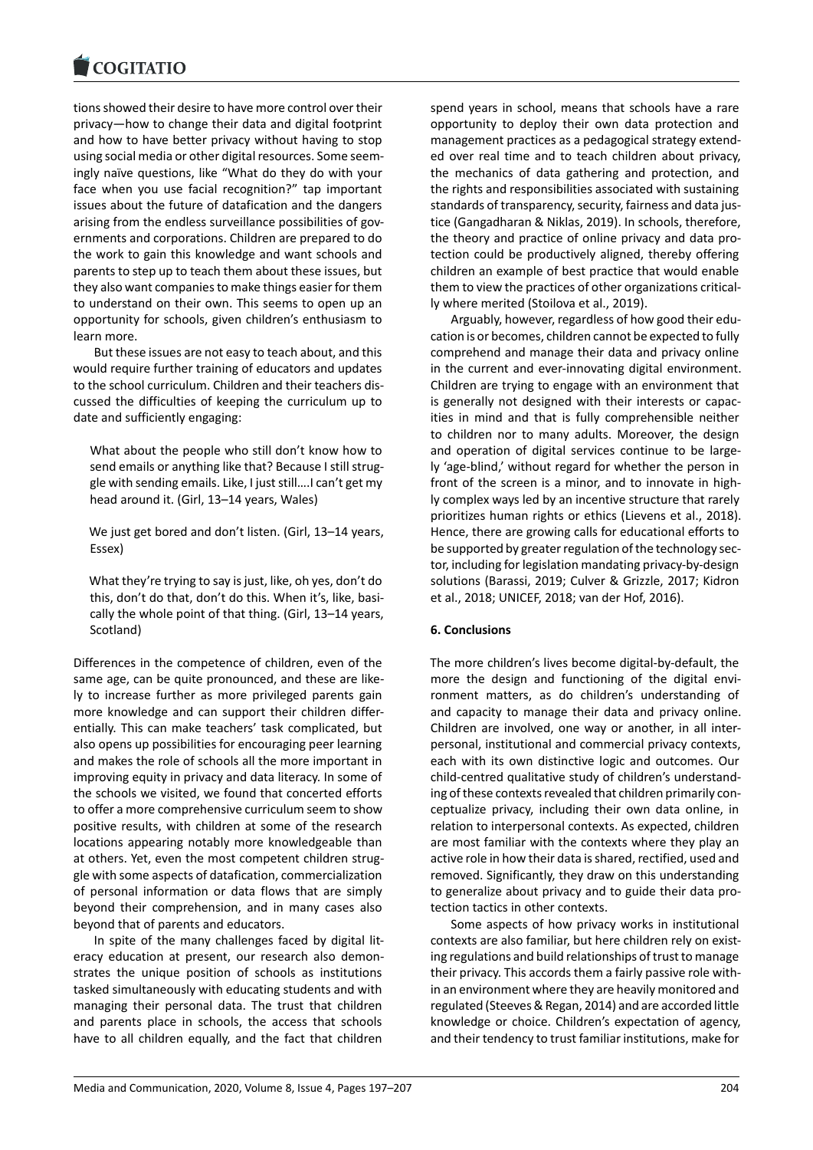tions showed their desire to have more control over their [privacy—how to cha](https://www.cogitatiopress.com)nge their data and digital footprint and how to have better privacy without having to stop using social media or other digital resources. Some seemingly naïve questions, like "What do they do with your face when you use facial recognition?" tap important issues about the future of datafication and the dangers arising from the endless surveillance possibilities of governments and corporations. Children are prepared to do the work to gain this knowledge and want schools and parents to step up to teach them about these issues, but they also want companies to make things easier for them to understand on their own. This seems to open up an opportunity for schools, given children's enthusiasm to learn more.

But these issues are not easy to teach about, and this would require further training of educators and updates to the school curriculum. Children and their teachers discussed the difficulties of keeping the curriculum up to date and sufficiently engaging:

What about the people who still don't know how to send emails or anything like that? Because I still struggle with sending emails. Like, I just still….I can't get my head around it. (Girl, 13–14 years, Wales)

We just get bored and don't listen. (Girl, 13–14 years, Essex)

What they're trying to say is just, like, oh yes, don't do this, don't do that, don't do this. When it's, like, basically the whole point of that thing. (Girl, 13–14 years, Scotland)

Differences in the competence of children, even of the same age, can be quite pronounced, and these are likely to increase further as more privileged parents gain more knowledge and can support their children differentially. This can make teachers' task complicated, but also opens up possibilities for encouraging peer learning and makes the role of schools all the more important in improving equity in privacy and data literacy. In some of the schools we visited, we found that concerted efforts to offer a more comprehensive curriculum seem to show positive results, with children at some of the research locations appearing notably more knowledgeable than at others. Yet, even the most competent children struggle with some aspects of datafication, commercialization of personal information or data flows that are simply beyond their comprehension, and in many cases also beyond that of parents and educators.

In spite of the many challenges faced by digital literacy education at present, our research also demonstrates the unique position of schools as institutions tasked simultaneously with educating students and with managing their personal data. The trust that children and parents place in schools, the access that schools have to all children equally, and the fact that children

spend years in school, means that schools have a rare opportunity to deploy their own data protection and management practices as a pedagogical strategy extended over real time and to teach children about privacy, the mechanics of data gathering and protection, and the rights and responsibilities associated with sustaining standards of transparency, security, fairness and data justice (Gangadharan & Niklas, 2019). In schools, therefore, the theory and practice of online privacy and data protection could be productively aligned, thereby offering children an example of best practice that would enable them to view the practices of other organizations critically where merited (Stoilova et al., 2019).

Arguably, however, regardless of how good their education is or becomes, children cannot be expected to fully comprehend and manage their data and privacy online in the current and ever-innovating digital environment. Children are trying to engage with an environment that is generally not designed with their interests or capacities in mind and that is fully comprehensible neither to children nor to many adults. Moreover, the design and operation of digital services continue to be largely 'age-blind,' without regard for whether the person in front of the screen is a minor, and to innovate in highly complex ways led by an incentive structure that rarely prioritizes human rights or ethics (Lievens et al., 2018). Hence, there are growing calls for educational efforts to be supported by greater regulation of the technology sector, including for legislation mandating privacy-by-design solutions (Barassi, 2019; Culver & Grizzle, 2017; Kidron et al., 2018; UNICEF, 2018; van der Hof, 2016).

## **6. Conclusions**

The more children's lives become digital-by-default, the more the design and functioning of the digital environment matters, as do children's understanding of and capacity to manage their data and privacy online. Children are involved, one way or another, in all interpersonal, institutional and commercial privacy contexts, each with its own distinctive logic and outcomes. Our child-centred qualitative study of children's understanding of these contexts revealed that children primarily conceptualize privacy, including their own data online, in relation to interpersonal contexts. As expected, children are most familiar with the contexts where they play an active role in how their data is shared, rectified, used and removed. Significantly, they draw on this understanding to generalize about privacy and to guide their data protection tactics in other contexts.

Some aspects of how privacy works in institutional contexts are also familiar, but here children rely on existing regulations and build relationships of trust to manage their privacy. This accords them a fairly passive role within an environment where they are heavily monitored and regulated (Steeves & Regan, 2014) and are accorded little knowledge or choice. Children's expectation of agency, and their tendency to trust familiar institutions, make for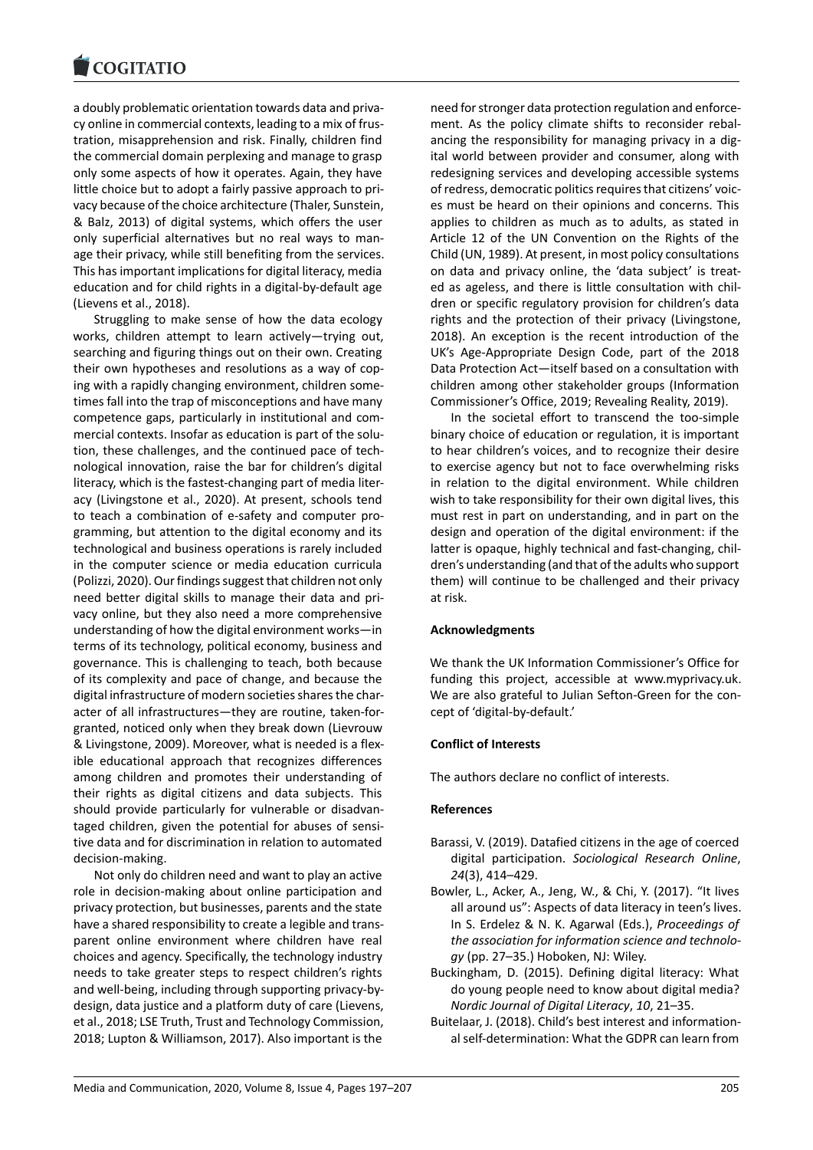a doubly problematic orientation towards data and priva[cy online in commerc](https://www.cogitatiopress.com)ial contexts, leading to a mix of frustration, misapprehension and risk. Finally, children find the commercial domain perplexing and manage to grasp only some aspects of how it operates. Again, they have little choice but to adopt a fairly passive approach to privacy because of the choice architecture (Thaler, Sunstein, & Balz, 2013) of digital systems, which offers the user only superficial alternatives but no real ways to manage their privacy, while still benefiting from the services. This has important implications for digital literacy, media education and for child rights in a digital-by-default age (Lievens et al., 2018).

Struggling to make sense of how the data ecology works, children attempt to learn actively—trying out, searching and figuring things out on their own. Creating their own hypotheses and resolutions as a way of coping with a rapidly changing environment, children sometimes fall into the trap of misconceptions and have many competence gaps, particularly in institutional and commercial contexts. Insofar as education is part of the solution, these challenges, and the continued pace of technological innovation, raise the bar for children's digital literacy, which is the fastest-changing part of media literacy (Livingstone et al., 2020). At present, schools tend to teach a combination of e-safety and computer programming, but attention to the digital economy and its technological and business operations is rarely included in the computer science or media education curricula (Polizzi, 2020). Our findings suggest that children not only need better digital skills to manage their data and privacy online, but they also need a more comprehensive understanding of how the digital environment works—in terms of its technology, political economy, business and governance. This is challenging to teach, both because of its complexity and pace of change, and because the digital infrastructure of modern societies shares the character of all infrastructures—they are routine, taken-forgranted, noticed only when they break down (Lievrouw & Livingstone, 2009). Moreover, what is needed is a flexible educational approach that recognizes differences among children and promotes their understanding of their rights as digital citizens and data subjects. This should provide particularly for vulnerable or disadvantaged children, given the potential for abuses of sensitive data and for discrimination in relation to automated decision-making.

Not only do children need and want to play an active role in decision-making about online participation and privacy protection, but businesses, parents and the state have a shared responsibility to create a legible and transparent online environment where children have real choices and agency. Specifically, the technology industry needs to take greater steps to respect children's rights and well-being, including through supporting privacy-bydesign, data justice and a platform duty of care (Lievens, et al., 2018; LSE Truth, Trust and Technology Commission, 2018; Lupton & Williamson, 2017). Also important is the

need for stronger data protection regulation and enforcement. As the policy climate shifts to reconsider rebalancing the responsibility for managing privacy in a digital world between provider and consumer, along with redesigning services and developing accessible systems of redress, democratic politics requires that citizens' voices must be heard on their opinions and concerns. This applies to children as much as to adults, as stated in Article 12 of the UN Convention on the Rights of the Child (UN, 1989). At present, in most policy consultations on data and privacy online, the 'data subject' is treated as ageless, and there is little consultation with children or specific regulatory provision for children's data rights and the protection of their privacy (Livingstone, 2018). An exception is the recent introduction of the UK's Age-Appropriate Design Code, part of the 2018 Data Protection Act—itself based on a consultation with children among other stakeholder groups (Information Commissioner's Office, 2019; Revealing Reality, 2019).

In the societal effort to transcend the too-simple binary choice of education or regulation, it is important to hear children's voices, and to recognize their desire to exercise agency but not to face overwhelming risks in relation to the digital environment. While children wish to take responsibility for their own digital lives, this must rest in part on understanding, and in part on the design and operation of the digital environment: if the latter is opaque, highly technical and fast-changing, children's understanding (and that of the adults who support them) will continue to be challenged and their privacy at risk.

### **Acknowledgments**

We thank the UK Information Commissioner's Office for funding this project, accessible at www.myprivacy.uk. We are also grateful to Julian Sefton-Green for the concept of 'digital-by-default.'

### **Conflict of Interests**

The authors declare no conflict of interests.

### **References**

- Barassi, V. (2019). Datafied citizens in the age of coerced digital participation. *Sociological Research Online*, *24*(3), 414–429.
- Bowler, L., Acker, A., Jeng, W., & Chi, Y. (2017). "It lives all around us": Aspects of data literacy in teen's lives. In S. Erdelez & N. K. Agarwal (Eds.), *Proceedings of the association for information science and technology* (pp. 27–35.) Hoboken, NJ: Wiley.
- Buckingham, D. (2015). Defining digital literacy: What do young people need to know about digital media? *Nordic Journal of Digital Literacy*, *10*, 21–35.
- Buitelaar, J. (2018). Child's best interest and informational self-determination: What the GDPR can learn from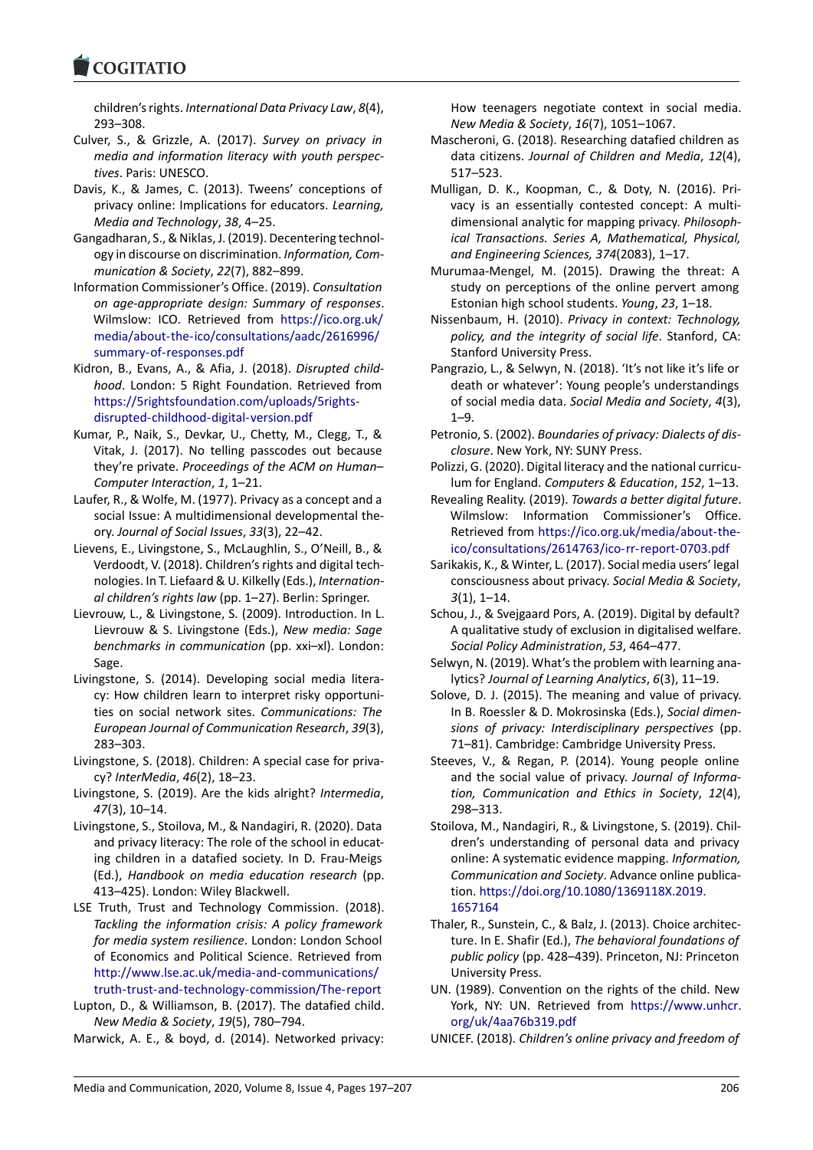children's rights. *International Data Privacy Law*, *8*(4), 293–308.

- [Culver, S., & Grizzle](https://www.cogitatiopress.com), A. (2017). *Survey on privacy in media and information literacy with youth perspectives*. Paris: UNESCO.
- Davis, K., & James, C. (2013). Tweens' conceptions of privacy online: Implications for educators. *Learning, Media and Technology*, *38*, 4–25.
- Gangadharan, S., & Niklas, J. (2019). Decentering technology in discourse on discrimination. *Information, Communication & Society*, *22*(7), 882–899.
- Information Commissioner's Office. (2019). *Consultation on age-appropriate design: Summary of responses*. Wilmslow: ICO. Retrieved from https://ico.org.uk/ media/about-the-ico/consultations/aadc/2616996/ summary-of-responses.pdf
- Kidron, B., Evans, A., & Afia, J. (2018). *Disrupted childhood*. London: 5 Right Foundati[on. Retrieved from](https://ico.org.uk/media/about-the-ico/consultations/aadc/2616996/summary-of-responses.pdf) [https://5rightsfoundation.com/uploads/5rights](https://ico.org.uk/media/about-the-ico/consultations/aadc/2616996/summary-of-responses.pdf)[disrupted-childhood-digital](https://ico.org.uk/media/about-the-ico/consultations/aadc/2616996/summary-of-responses.pdf)-version.pdf
- Kumar, P., Naik, S., Devkar, U., Chetty, M., Clegg, T., & Vitak, J. (2017). No telling passcodes out because they're private. *[Proceedings of the ACM on Hum](https://5rightsfoundation.com/uploads/5rights-disrupted-childhood-digital-version.pdf)an– [Computer Interaction](https://5rightsfoundation.com/uploads/5rights-disrupted-childhood-digital-version.pdf)*, *1*, 1–21.
- Laufer, R., & Wolfe, M. (1977). Privacy as a concept and a social Issue: A multidimensional developmental theory. *Journal of Social Issues*, *33*(3), 22–42.
- Lievens, E., Livingstone, S., McLaughlin, S., O'Neill, B., & Verdoodt, V. (2018). Children's rights and digital technologies. In T. Liefaard & U. Kilkelly (Eds.), *International children's rights law* (pp. 1–27). Berlin: Springer.
- Lievrouw, L., & Livingstone, S. (2009). Introduction. In L. Lievrouw & S. Livingstone (Eds.), *New media: Sage benchmarks in communication* (pp. xxi–xl). London: Sage.
- Livingstone, S. (2014). Developing social media literacy: How children learn to interpret risky opportunities on social network sites. *Communications: The European Journal of Communication Research*, *39*(3), 283–303.
- Livingstone, S. (2018). Children: A special case for privacy? *InterMedia*, *46*(2), 18–23.
- Livingstone, S. (2019). Are the kids alright? *Intermedia*, *47*(3), 10–14.
- Livingstone, S., Stoilova, M., & Nandagiri, R. (2020). Data and privacy literacy: The role of the school in educating children in a datafied society. In D. Frau-Meigs (Ed.), *Handbook on media education research* (pp. 413–425). London: Wiley Blackwell.
- LSE Truth, Trust and Technology Commission. (2018). *Tackling the information crisis: A policy framework for media system resilience*. London: London School of Economics and Political Science. Retrieved from http://www.lse.ac.uk/media-and-communications/ truth-trust-and-technology-commission/The-report
- Lupton, D., & Williamson, B. (2017). The datafied child. *New Media & Society*, *19*(5), 780–794.
- Ma[rwick, A. E., & boyd, d. \(2014\). Networked privacy](http://www.lse.ac.uk/media-and-communications/truth-trust-and-technology-commission/The-report):

How teenagers negotiate context in social media. *New Media & Society*, *16*(7), 1051–1067.

- Mascheroni, G. (2018). Researching datafied children as data citizens. *Journal of Children and Media*, *12*(4), 517–523.
- Mulligan, D. K., Koopman, C., & Doty, N. (2016). Privacy is an essentially contested concept: A multidimensional analytic for mapping privacy. *Philosophical Transactions. Series A, Mathematical, Physical, and Engineering Sciences, 374*(2083), 1–17.
- Murumaa-Mengel, M. (2015). Drawing the threat: A study on perceptions of the online pervert among Estonian high school students. *Young*, *23*, 1–18.
- Nissenbaum, H. (2010). *Privacy in context: Technology, policy, and the integrity of social life*. Stanford, CA: Stanford University Press.
- Pangrazio, L., & Selwyn, N. (2018). 'It's not like it's life or death or whatever': Young people's understandings of social media data. *Social Media and Society*, *4*(3), 1–9.
- Petronio, S. (2002). *Boundaries of privacy: Dialects of disclosure*. New York, NY: SUNY Press.
- Polizzi, G. (2020). Digital literacy and the national curriculum for England. *Computers & Education*, *152*, 1–13.
- Revealing Reality. (2019). *Towards a better digital future*. Wilmslow: Information Commissioner's Office. Retrieved from https://ico.org.uk/media/about-theico/consultations/2614763/ico-rr-report-0703.pdf
- Sarikakis, K., & Winter, L. (2017). Social media users' legal consciousness about privacy. *Social Media & Society*, *3*(1), 1–14.
- Sch[ou, J., & Svejgaard Pors, A. \(2019\). Digital by default](https://ico.org.uk/media/about-the-ico/consultations/2614763/ico-rr-report-0703.pdf)? A qualitative study of exclusion in digitalised welfare. *Social Policy Administration*, *53*, 464–477.
- Selwyn, N. (2019). What's the problem with learning analytics? *Journal of Learning Analytics*, *6*(3), 11–19.
- Solove, D. J. (2015). The meaning and value of privacy. In B. Roessler & D. Mokrosinska (Eds.), *Social dimensions of privacy: Interdisciplinary perspectives* (pp. 71–81). Cambridge: Cambridge University Press.
- Steeves, V., & Regan, P. (2014). Young people online and the social value of privacy. *Journal of Information, Communication and Ethics in Society*, *12*(4), 298–313.
- Stoilova, M., Nandagiri, R., & Livingstone, S. (2019). Children's understanding of personal data and privacy online: A systematic evidence mapping. *Information, Communication and Society*. Advance online publication. https://doi.org/10.1080/1369118X.2019. 1657164
- Thaler, R., Sunstein, C., & Balz, J. (2013). Choice architecture. In E. Shafir (Ed.), *The behavioral foundations of public policy* [\(pp. 428–439\). Princeton, NJ: Prin](https://doi.org/10.1080/1369118X.2019.1657164)ceton [Universit](https://doi.org/10.1080/1369118X.2019.1657164)y Press.
- UN. (1989). Convention on the rights of the child. New York, NY: UN. Retrieved from https://www.unhcr. org/uk/4aa76b319.pdf
- UNICEF. (2018). *Children's online privacy and freedom of*